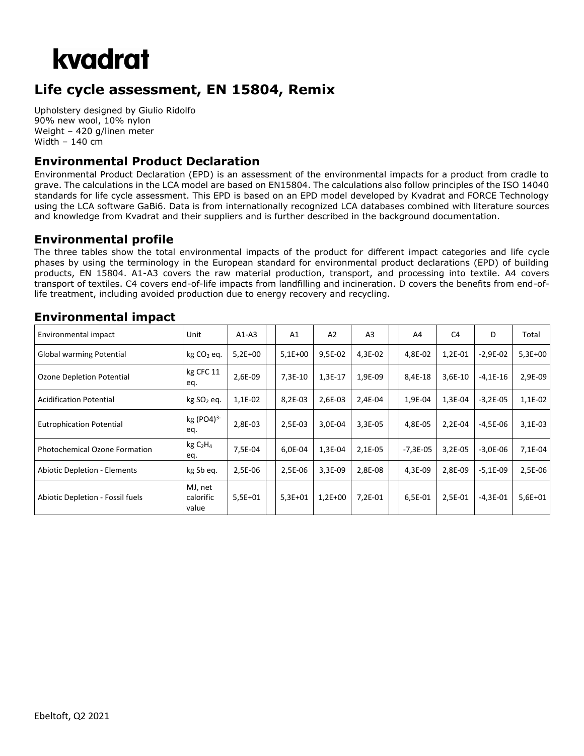## kvadrat

### **Life cycle assessment, EN 15804, Remix**

Upholstery designed by Giulio Ridolfo 90% new wool, 10% nylon Weight – 420 g/linen meter Width – 140 cm

### **Environmental Product Declaration**

Environmental Product Declaration (EPD) is an assessment of the environmental impacts for a product from cradle to grave. The calculations in the LCA model are based on EN15804. The calculations also follow principles of the ISO 14040 standards for life cycle assessment. This EPD is based on an EPD model developed by Kvadrat and FORCE Technology using the LCA software GaBi6. Data is from internationally recognized LCA databases combined with literature sources and knowledge from Kvadrat and their suppliers and is further described in the background documentation.

#### **Environmental profile**

The three tables show the total environmental impacts of the product for different impact categories and life cycle phases by using the terminology in the European standard for environmental product declarations (EPD) of building products, EN 15804. A1-A3 covers the raw material production, transport, and processing into textile. A4 covers transport of textiles. C4 covers end-of-life impacts from landfilling and incineration. D covers the benefits from end-oflife treatment, including avoided production due to energy recovery and recycling.

#### Environmental impact  $\vert$  Unit  $\vert$  A1-A3  $\vert$  A1  $\vert$  A2  $\vert$  A3  $\vert$   $\vert$  A4  $\vert$  C4  $\vert$  D  $\vert$  Total Global warming Potential kg CO<sup>2</sup> eq. 5,2E+00 5,1E+00 9,5E-02 4,3E-02 4,8E-02 1,2E-01 -2,9E-02 5,3E+00 Ozone Depletion Potential kg CFC 11 eq. 2,6E-09 | | 7,3E-10 | 1,3E-17 | 1,9E-09 | | 8,4E-18 | 3,6E-10 | -4,1E-16 | 2,9E-09 Acidification Potential kg SO<sub>2</sub> eq. 1,1E-02 8,2E-03 2,6E-03 2,4E-04 1,9E-04 1,3E-04 -3,2E-05 1,1E-02 Eutrophication Potential kg (PO4)<sup>3-</sup> eq. 2,8E-03 | 2,5E-03 | 3,0E-04 | 3,3E-05 | 14,8E-05 | 2,2E-04 | -4,5E-06 | 3,1E-03 Photochemical Ozone Formation  $\left[\begin{array}{cc} \text{kg C}_2\text{H}_4 \end{array}\right]$ eq. 7,5E-04 | | 6,0E-04 | 1,3E-04 | 2,1E-05 | |-7,3E-05 | 3,2E-05 | -3,0E-06 | 7,1E-04 Abiotic Depletion - Elements kg Sb eq. 2,5E-06 2,5E-06 3,3E-09 2,8E-08 4,3E-09 2,8E-09 -5,1E-09 2,5E-06 Abiotic Depletion - Fossil fuels MJ, net calorific value 5,5E+01 5,3E+01 1,2E+00 7,2E-01 6,5E-01 2,5E-01 -4,3E-01 5,6E+01

#### **Environmental impact**